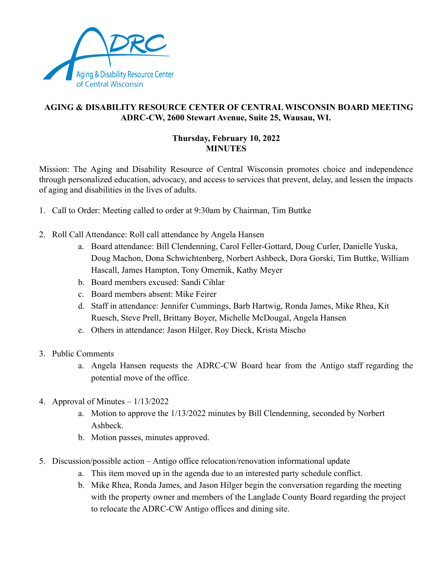

## **AGING & DISABILITY RESOURCE CENTER OF CENTRAL WISCONSIN BOARD MEETING ADRC-CW, 2600 Stewart Avenue, Suite 25, Wausau, WI.**

## **Thursday, February 10, 2022 MINUTES**

Mission: The Aging and Disability Resource of Central Wisconsin promotes choice and independence through personalized education, advocacy, and access to services that prevent, delay, and lessen the impacts of aging and disabilities in the lives of adults.

- 1. Call to Order: Meeting called to order at 9:30am by Chairman, Tim Buttke
- 2. Roll Call Attendance: Roll call attendance by Angela Hansen
	- a. Board attendance: Bill Clendenning, Carol Feller-Gottard, Doug Curler, Danielle Yuska, Doug Machon, Dona Schwichtenberg, Norbert Ashbeck, Dora Gorski, Tim Buttke, William Hascall, James Hampton, Tony Omernik, Kathy Meyer
	- b. Board members excused: Sandi Cihlar
	- c. Board members absent: Mike Feirer
	- d. Staff in attendance: Jennifer Cummings, Barb Hartwig, Ronda James, Mike Rhea, Kit Ruesch, Steve Prell, Brittany Boyer, Michelle McDougal, Angela Hansen
	- e. Others in attendance: Jason Hilger, Roy Dieck, Krista Mischo
- 3. Public Comments
	- a. Angela Hansen requests the ADRC-CW Board hear from the Antigo staff regarding the potential move of the office.
- 4. Approval of Minutes 1/13/2022
	- a. Motion to approve the 1/13/2022 minutes by Bill Clendenning, seconded by Norbert Ashbeck.
	- b. Motion passes, minutes approved.
- 5. Discussion/possible action Antigo office relocation/renovation informational update
	- a. This item moved up in the agenda due to an interested party schedule conflict.
	- b. Mike Rhea, Ronda James, and Jason Hilger begin the conversation regarding the meeting with the property owner and members of the Langlade County Board regarding the project to relocate the ADRC-CW Antigo offices and dining site.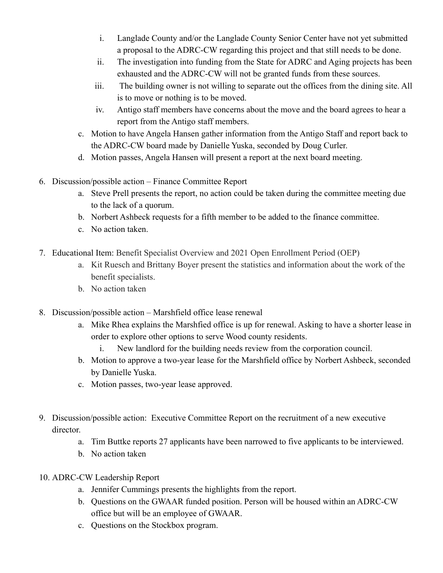- i. Langlade County and/or the Langlade County Senior Center have not yet submitted a proposal to the ADRC-CW regarding this project and that still needs to be done.
- ii. The investigation into funding from the State for ADRC and Aging projects has been exhausted and the ADRC-CW will not be granted funds from these sources.
- iii. The building owner is not willing to separate out the offices from the dining site. All is to move or nothing is to be moved.
- iv. Antigo staff members have concerns about the move and the board agrees to hear a report from the Antigo staff members.
- c. Motion to have Angela Hansen gather information from the Antigo Staff and report back to the ADRC-CW board made by Danielle Yuska, seconded by Doug Curler.
- d. Motion passes, Angela Hansen will present a report at the next board meeting.
- 6. Discussion/possible action Finance Committee Report
	- a. Steve Prell presents the report, no action could be taken during the committee meeting due to the lack of a quorum.
	- b. Norbert Ashbeck requests for a fifth member to be added to the finance committee.
	- c. No action taken.
- 7. Educational Item: Benefit Specialist Overview and 2021 Open Enrollment Period (OEP)
	- a. Kit Ruesch and Brittany Boyer present the statistics and information about the work of the benefit specialists.
	- b. No action taken
- 8. Discussion/possible action Marshfield office lease renewal
	- a. Mike Rhea explains the Marshfied office is up for renewal. Asking to have a shorter lease in order to explore other options to serve Wood county residents.
		- i. New landlord for the building needs review from the corporation council.
	- b. Motion to approve a two-year lease for the Marshfield office by Norbert Ashbeck, seconded by Danielle Yuska.
	- c. Motion passes, two-year lease approved.
- 9. Discussion/possible action: Executive Committee Report on the recruitment of a new executive director.
	- a. Tim Buttke reports 27 applicants have been narrowed to five applicants to be interviewed.
	- b. No action taken
- 10. ADRC-CW Leadership Report
	- a. Jennifer Cummings presents the highlights from the report.
	- b. Questions on the GWAAR funded position. Person will be housed within an ADRC-CW office but will be an employee of GWAAR.
	- c. Questions on the Stockbox program.